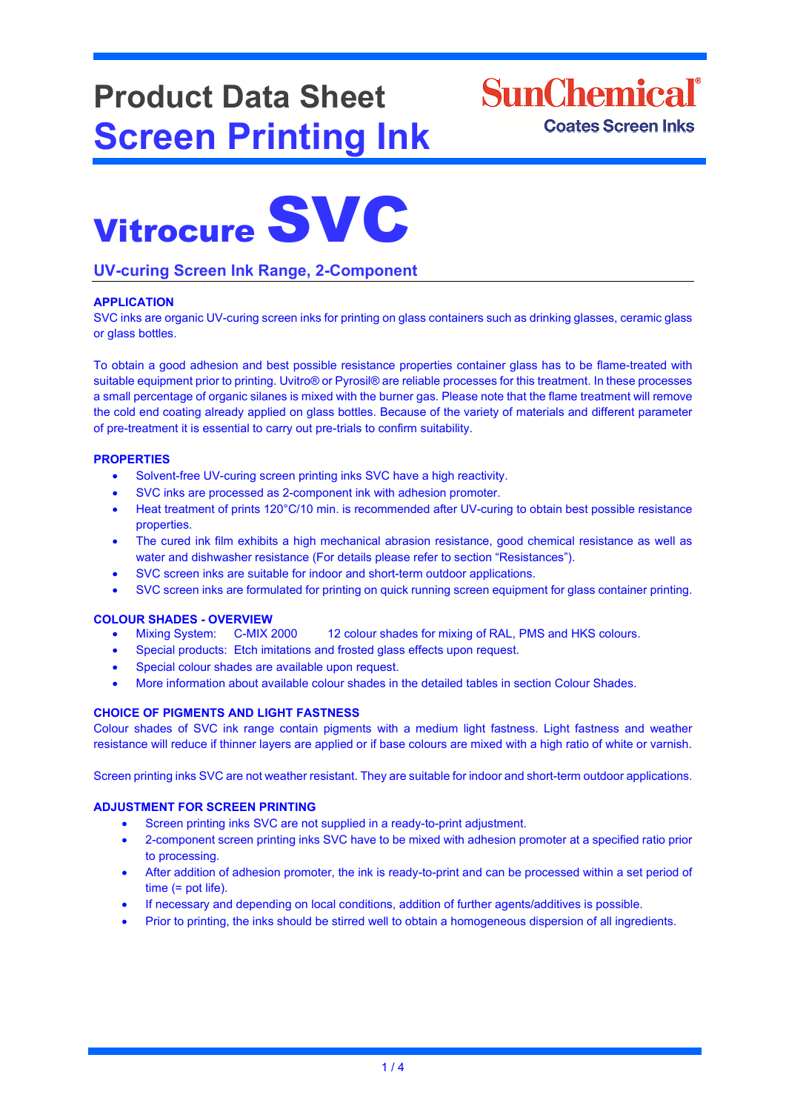## **Product Data Sheet Screen Printing Ink**

## **SunChemical**<sup>®</sup> **Coates Screen Inks**

# Vitrocure SVC

#### **UV-curing Screen Ink Range, 2-Component**

#### **APPLICATION**

SVC inks are organic UV-curing screen inks for printing on glass containers such as drinking glasses, ceramic glass or glass bottles.

To obtain a good adhesion and best possible resistance properties container glass has to be flame-treated with suitable equipment prior to printing. Uvitro® or Pyrosil® are reliable processes for this treatment. In these processes a small percentage of organic silanes is mixed with the burner gas. Please note that the flame treatment will remove the cold end coating already applied on glass bottles. Because of the variety of materials and different parameter of pre-treatment it is essential to carry out pre-trials to confirm suitability.

#### **PROPERTIES**

- Solvent-free UV-curing screen printing inks SVC have a high reactivity.
- SVC inks are processed as 2-component ink with adhesion promoter.
- Heat treatment of prints 120°C/10 min. is recommended after UV-curing to obtain best possible resistance properties.
- The cured ink film exhibits a high mechanical abrasion resistance, good chemical resistance as well as water and dishwasher resistance (For details please refer to section "Resistances").
- SVC screen inks are suitable for indoor and short-term outdoor applications.
- SVC screen inks are formulated for printing on quick running screen equipment for glass container printing.

## **COLOUR SHADES - OVERVIEW**

- 12 colour shades for mixing of RAL, PMS and HKS colours.
- Special products: Etch imitations and frosted glass effects upon request.
- Special colour shades are available upon request.
- More information about available colour shades in the detailed tables in section Colour Shades.

#### **CHOICE OF PIGMENTS AND LIGHT FASTNESS**

Colour shades of SVC ink range contain pigments with a medium light fastness. Light fastness and weather resistance will reduce if thinner layers are applied or if base colours are mixed with a high ratio of white or varnish.

Screen printing inks SVC are not weather resistant. They are suitable for indoor and short-term outdoor applications.

#### **ADJUSTMENT FOR SCREEN PRINTING**

- Screen printing inks SVC are not supplied in a ready-to-print adjustment.
- 2-component screen printing inks SVC have to be mixed with adhesion promoter at a specified ratio prior to processing.
- After addition of adhesion promoter, the ink is ready-to-print and can be processed within a set period of time (= pot life).
- If necessary and depending on local conditions, addition of further agents/additives is possible.
- Prior to printing, the inks should be stirred well to obtain a homogeneous dispersion of all ingredients.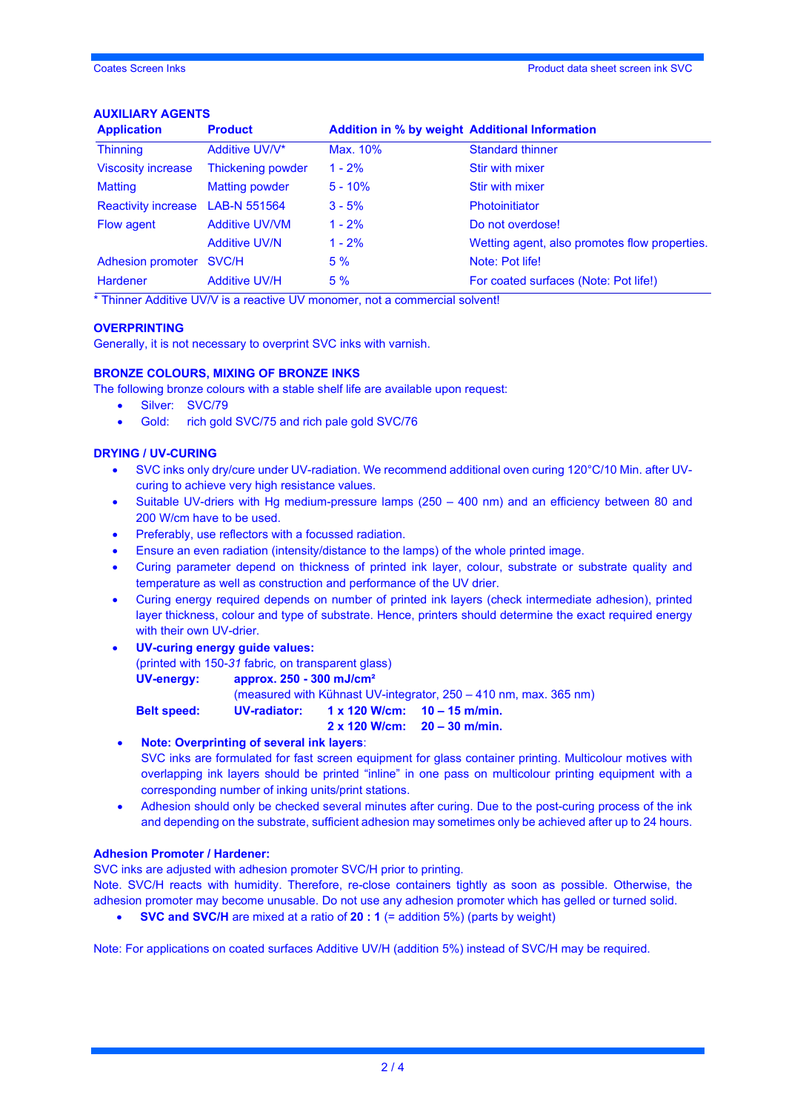#### **AUXILIARY AGENTS**

| <b>Application</b>         | <b>Product</b>           | <b>Addition in % by weight Additional Information</b> |                                               |  |
|----------------------------|--------------------------|-------------------------------------------------------|-----------------------------------------------|--|
| <b>Thinning</b>            | Additive UV/V*           | Max. 10%                                              | <b>Standard thinner</b>                       |  |
| <b>Viscosity increase</b>  | <b>Thickening powder</b> | $1 - 2%$                                              | Stir with mixer                               |  |
| <b>Matting</b>             | <b>Matting powder</b>    | $5 - 10%$                                             | Stir with mixer                               |  |
| <b>Reactivity increase</b> | LAB-N 551564             | $3 - 5%$                                              | <b>Photoinitiator</b>                         |  |
| Flow agent                 | <b>Additive UV/VM</b>    | $1 - 2%$                                              | Do not overdose!                              |  |
|                            | <b>Additive UV/N</b>     | $1 - 2%$                                              | Wetting agent, also promotes flow properties. |  |
| <b>Adhesion promoter</b>   | SVC/H                    | 5%                                                    | Note: Pot life!                               |  |
| <b>Hardener</b>            | <b>Additive UV/H</b>     | 5%                                                    | For coated surfaces (Note: Pot life!)         |  |
|                            |                          |                                                       |                                               |  |

\* Thinner Additive UV/V is a reactive UV monomer, not a commercial solvent!

#### **OVERPRINTING**

Generally, it is not necessary to overprint SVC inks with varnish.

#### **BRONZE COLOURS, MIXING OF BRONZE INKS**

- The following bronze colours with a stable shelf life are available upon request:
	- Silver: SVC/79
	- Gold: rich gold SVC/75 and rich pale gold SVC/76

#### **DRYING / UV-CURING**

- SVC inks only dry/cure under UV-radiation. We recommend additional oven curing 120°C/10 Min. after UVcuring to achieve very high resistance values.
- Suitable UV-driers with Hg medium-pressure lamps (250 400 nm) and an efficiency between 80 and 200 W/cm have to be used.
- Preferably, use reflectors with a focussed radiation.
- Ensure an even radiation (intensity/distance to the lamps) of the whole printed image.
- Curing parameter depend on thickness of printed ink layer, colour, substrate or substrate quality and temperature as well as construction and performance of the UV drier.
- Curing energy required depends on number of printed ink layers (check intermediate adhesion), printed layer thickness, colour and type of substrate. Hence, printers should determine the exact required energy with their own UV-drier.
- **UV-curing energy guide values:**  (printed with 150-*31* fabric*,* on transparent glass) **UV-energy: approx. 250 - 300 mJ/cm²**

(measured with Kühnast UV-integrator, 250 – 410 nm, max. 365 nm)

### **Belt speed: UV-radiator: 1 x 120 W/cm: 10 – 15 m/min.**

**2 x 120 W/cm: 20 – 30 m/min.**

#### • **Note: Overprinting of several ink layers**:

SVC inks are formulated for fast screen equipment for glass container printing. Multicolour motives with overlapping ink layers should be printed "inline" in one pass on multicolour printing equipment with a corresponding number of inking units/print stations.

• Adhesion should only be checked several minutes after curing. Due to the post-curing process of the ink and depending on the substrate, sufficient adhesion may sometimes only be achieved after up to 24 hours.

#### **Adhesion Promoter / Hardener:**

SVC inks are adjusted with adhesion promoter SVC/H prior to printing.

Note. SVC/H reacts with humidity. Therefore, re-close containers tightly as soon as possible. Otherwise, the adhesion promoter may become unusable. Do not use any adhesion promoter which has gelled or turned solid.

• **SVC and SVC/H** are mixed at a ratio of **20 : 1** (= addition 5%) (parts by weight)

Note: For applications on coated surfaces Additive UV/H (addition 5%) instead of SVC/H may be required.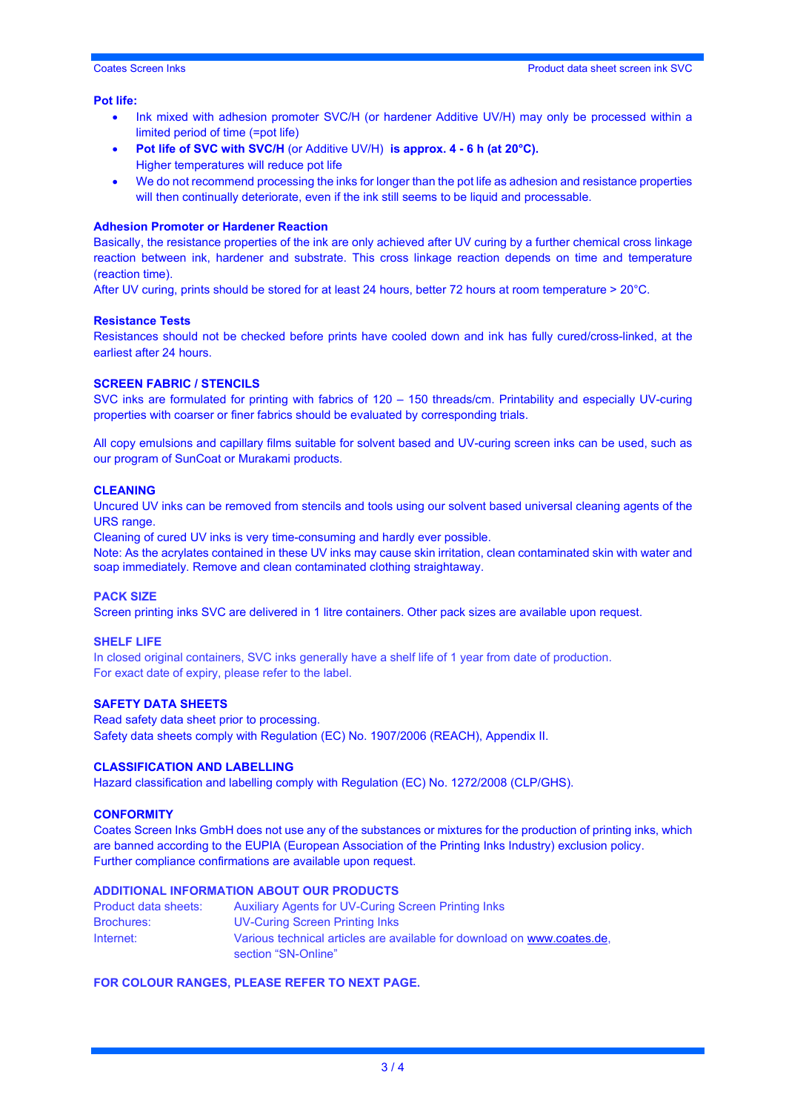#### **Pot life:**

- Ink mixed with adhesion promoter SVC/H (or hardener Additive UV/H) may only be processed within a limited period of time (=pot life)
- **Pot life of SVC with SVC/H** (or Additive UV/H) **is approx. 4 - 6 h (at 20°C).** Higher temperatures will reduce pot life
- We do not recommend processing the inks for longer than the pot life as adhesion and resistance properties will then continually deteriorate, even if the ink still seems to be liquid and processable.

#### **Adhesion Promoter or Hardener Reaction**

Basically, the resistance properties of the ink are only achieved after UV curing by a further chemical cross linkage reaction between ink, hardener and substrate. This cross linkage reaction depends on time and temperature (reaction time).

After UV curing, prints should be stored for at least 24 hours, better 72 hours at room temperature > 20°C.

#### **Resistance Tests**

Resistances should not be checked before prints have cooled down and ink has fully cured/cross-linked, at the earliest after 24 hours.

#### **SCREEN FABRIC / STENCILS**

SVC inks are formulated for printing with fabrics of 120 – 150 threads/cm. Printability and especially UV-curing properties with coarser or finer fabrics should be evaluated by corresponding trials.

All copy emulsions and capillary films suitable for solvent based and UV-curing screen inks can be used, such as our program of SunCoat or Murakami products.

#### **CLEANING**

Uncured UV inks can be removed from stencils and tools using our solvent based universal cleaning agents of the URS range.

Cleaning of cured UV inks is very time-consuming and hardly ever possible.

Note: As the acrylates contained in these UV inks may cause skin irritation, clean contaminated skin with water and soap immediately. Remove and clean contaminated clothing straightaway.

#### **PACK SIZE**

Screen printing inks SVC are delivered in 1 litre containers. Other pack sizes are available upon request.

#### **SHELF LIFE**

In closed original containers, SVC inks generally have a shelf life of 1 year from date of production. For exact date of expiry, please refer to the label.

#### **SAFETY DATA SHEETS**

Read safety data sheet prior to processing. Safety data sheets comply with Regulation (EC) No. 1907/2006 (REACH), Appendix II.

#### **CLASSIFICATION AND LABELLING**

Hazard classification and labelling comply with Regulation (EC) No. 1272/2008 (CLP/GHS).

#### **CONFORMITY**

Coates Screen Inks GmbH does not use any of the substances or mixtures for the production of printing inks, which are banned according to the EUPIA (European Association of the Printing Inks Industry) exclusion policy. Further compliance confirmations are available upon request.

#### **ADDITIONAL INFORMATION ABOUT OUR PRODUCTS**

| Product data sheets: | Auxiliary Agents for UV-Curing Screen Printing Inks                                            |
|----------------------|------------------------------------------------------------------------------------------------|
| <b>Brochures:</b>    | UV-Curing Screen Printing Inks                                                                 |
| Internet:            | Various technical articles are available for download on www.coates.de.<br>section "SN-Online" |
|                      |                                                                                                |

#### **FOR COLOUR RANGES, PLEASE REFER TO NEXT PAGE.**